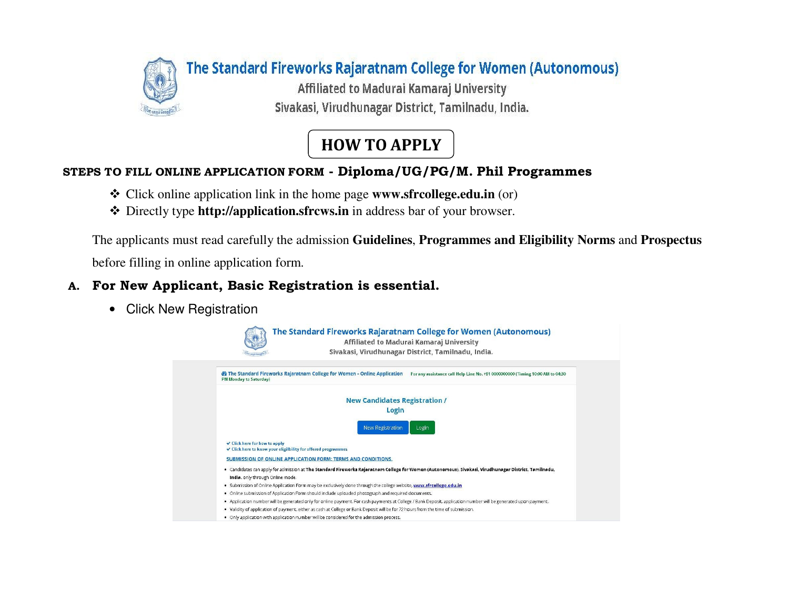

## HOW TO APPLY

### STEPS TO FILL ONLINE APPLICATION FORM - Diploma/UG/PG/M. Phil Programmes

- **❖** Click online application link in the home page **www.sfrcollege.edu.in** (or) <br>← Directly two **http://application of pays in** in address hand factor have read
- Directly type **http://application.sfrcws.in** in address bar of your browser.

The applicants must read carefully the admission **Guidelines**, **Programmes and Eligibility Norms** and **Prospectus**before filling in online application form.

### A. For New Applicant, Basic Registration is essential.

• Click New Registration

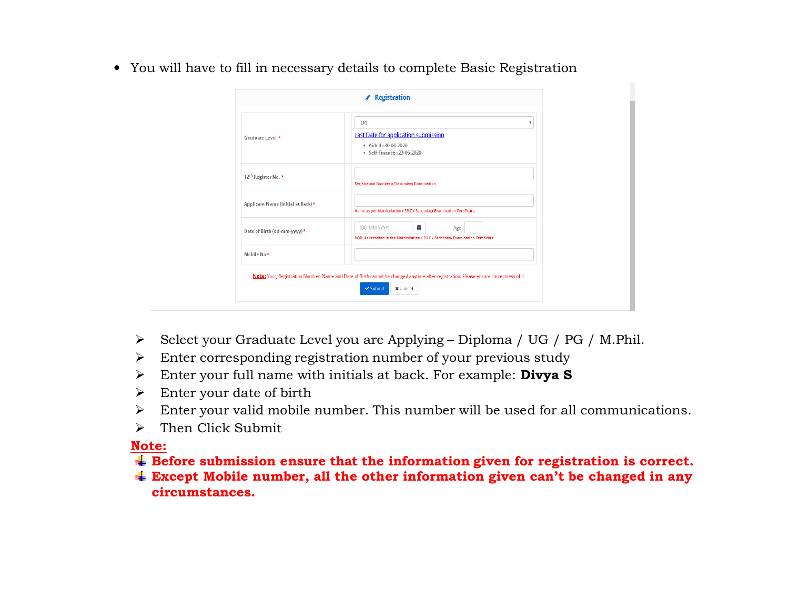• You will have to fill in necessary details to complete Basic Registration

| Graduate Level *                  | UG<br>v<br>Last Date for application submission<br>· Aided: 30-06-2020<br>• Self-Finance: 23-06-2020          |
|-----------------------------------|---------------------------------------------------------------------------------------------------------------|
| 12 <sup>th</sup> Register No. *   | Registration Number of Secondary Examination                                                                  |
| Applicant Name (Initial at Back)* | Name as per Matriculation / SSLC / Secondary Examination Certificate                                          |
| Date of Birth (dd-mm-yyyy)*       | 龠<br>(DD-MM-YYYY)<br>Age:<br>DOB: As recorded in the Matriculation / SSLC / Secondary Examination Certificate |
| Mobile No*                        |                                                                                                               |

- $\triangleright$  Select your Graduate Level you are Applying Diploma / UG / PG / M.Phil.
- Enter corresponding registration number of your previous study
- Enter your full name with initials at back. For example:  $\text{Divya S}$
- $\triangleright$  Enter your date of birth
- Enter your valid mobile number. This number will be used for all communications.
- $\blacktriangleright$ Then Click Submit

### Note:

- Before submission ensure that the information given for registration is correct.
- Except Mobile number, all the other information given can't be changed in any circumstances.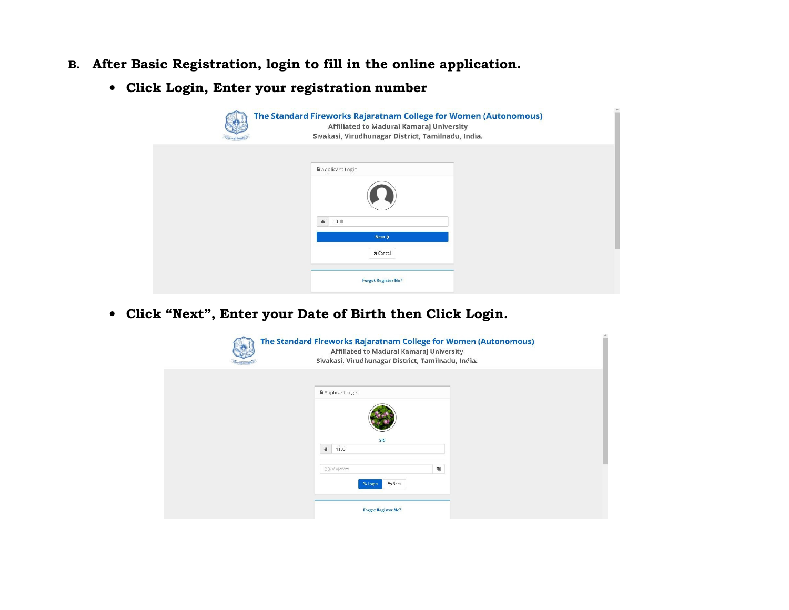- B. After Basic Registration, login to fill in the online application.
	- Click Login, Enter your registration number

| The Standard Fireworks Rajaratnam College for Women (Autonomous)<br>Affiliated to Madurai Kamaraj University<br>Sivakasi, Virudhunagar District, Tamilnadu, India. |
|--------------------------------------------------------------------------------------------------------------------------------------------------------------------|
| Applicant Login                                                                                                                                                    |
|                                                                                                                                                                    |
| $\Delta$<br>1100<br>Next >                                                                                                                                         |
| <b>x</b> Cancel                                                                                                                                                    |
| Forgot Register No?                                                                                                                                                |

• Click "Next", Enter your Date of Birth then Click Login.

| Tennis | The Standard Fireworks Rajaratnam College for Women (Autonomous)<br>Affiliated to Madurai Kamaraj University<br>Sivakasi, Virudhunagar District, Tamilnadu, India. |  |
|--------|--------------------------------------------------------------------------------------------------------------------------------------------------------------------|--|
|        | Applicant Login                                                                                                                                                    |  |
|        | SRI                                                                                                                                                                |  |
|        | 1100<br>首<br>DD-MM-YYYY                                                                                                                                            |  |
|        | $A$ Back<br>R <sub>s</sub> Login<br><b>Forgot Register No?</b>                                                                                                     |  |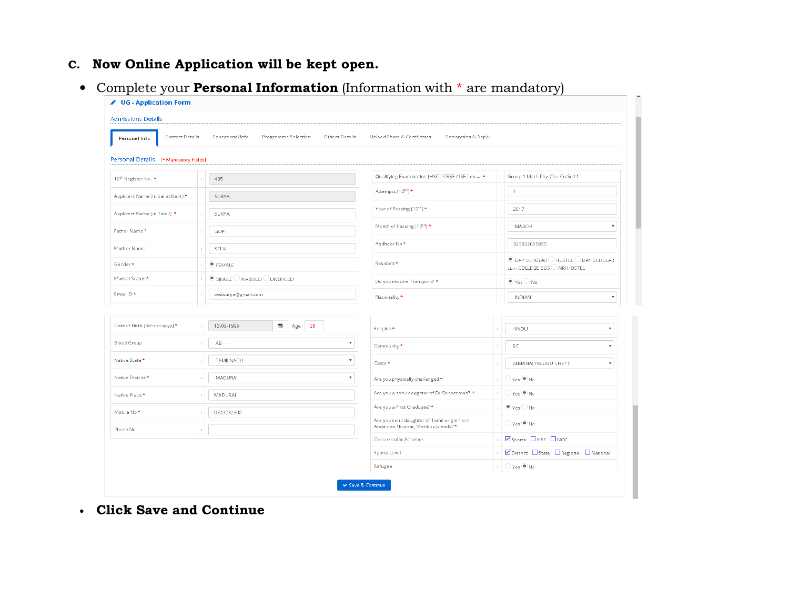## C. Now Online Application will be kept open.

• Complete your **Personal Information** (Information with  $*$  are mandatory)

| <b>Admissions Details</b><br>Contact Details<br>Educational Info<br>Personal Info<br>Personal Details (* Mandatory Fields)<br>12th Register No. *<br>405 | Programme Selection<br>Others Details |                                                                                    |                      |                                                                                          |  |  |  |  |  |  |  |
|----------------------------------------------------------------------------------------------------------------------------------------------------------|---------------------------------------|------------------------------------------------------------------------------------|----------------------|------------------------------------------------------------------------------------------|--|--|--|--|--|--|--|
|                                                                                                                                                          |                                       |                                                                                    |                      |                                                                                          |  |  |  |  |  |  |  |
|                                                                                                                                                          |                                       | Upload Photo & Certificates<br>Declaration & Apply                                 |                      |                                                                                          |  |  |  |  |  |  |  |
|                                                                                                                                                          |                                       |                                                                                    |                      |                                                                                          |  |  |  |  |  |  |  |
|                                                                                                                                                          |                                       | Qualifying Examination (HSC / CBSE / ISE / etc) *                                  | $\ddot{\phantom{a}}$ | Group 1 Math-Phy-Che-Co.Sci11                                                            |  |  |  |  |  |  |  |
| Applicant Name (Initial at Back) *<br>SURYA                                                                                                              |                                       | Attempts (12 <sup>th</sup> ) *                                                     |                      | $\mathbf{1}$                                                                             |  |  |  |  |  |  |  |
| Applicant Name (in Tamil) *<br>SURYA                                                                                                                     |                                       | Year of Passing (12 <sup>th</sup> ) *                                              |                      | 2017                                                                                     |  |  |  |  |  |  |  |
| Father Name *<br>GOPI                                                                                                                                    |                                       | Month of Passing (12th) *                                                          |                      | MARCH                                                                                    |  |  |  |  |  |  |  |
| Mother Name<br>SELVI                                                                                                                                     |                                       | Aadhaar No*                                                                        |                      | 323532655655                                                                             |  |  |  |  |  |  |  |
| Gender*<br>$\bullet$ FEMALE                                                                                                                              |                                       | Resident*                                                                          |                      | $\bullet$ day scholar $\circ$ hostel $\circ$ day scholar<br>cum COLLEGE BUS ◯ NRI HOSTEL |  |  |  |  |  |  |  |
| Marital Status *<br>$\bullet$ single $\bigcirc$ married $\bigcirc$ divorced                                                                              |                                       | Do you require Transport? *                                                        |                      | $\bullet$ Yes $\bigcirc$ No                                                              |  |  |  |  |  |  |  |
| Email ID *<br>testsurya@gmail.com                                                                                                                        |                                       | Nationality *                                                                      |                      | <b>INDIAN</b>                                                                            |  |  |  |  |  |  |  |
|                                                                                                                                                          |                                       |                                                                                    |                      |                                                                                          |  |  |  |  |  |  |  |
| Date of Birth (dd-mm-yyyy)*<br>12-09-1999                                                                                                                | 齟<br>Age: 20                          | Religion *                                                                         |                      | HINDU<br>$\overline{\phantom{a}}$                                                        |  |  |  |  |  |  |  |
| Blood Group<br>$\mathsf{AB}$ .                                                                                                                           | $\overline{\mathbf{v}}$               | Community *                                                                        |                      | BC<br>$\overline{\mathbf{v}}$                                                            |  |  |  |  |  |  |  |
| Native State *<br>TAMILNADU                                                                                                                              | $\boldsymbol{\mathrm{v}}$             | Caste*                                                                             |                      | 24MANAI TELUGU CHETTI<br>$\overline{\mathbf{v}}$                                         |  |  |  |  |  |  |  |
| Native District*<br>MADURAI                                                                                                                              | $\overline{\mathbf{v}}$               | Are you physically challenged *                                                    |                      | $O$ Yes $\odot$ No                                                                       |  |  |  |  |  |  |  |
| Native Place *<br>MADURAI                                                                                                                                |                                       | Are you a son / daughter of Ex-Serviceman? *                                       |                      | $O$ Yes $\odot$ No                                                                       |  |  |  |  |  |  |  |
| Mobile No *<br>0320232302                                                                                                                                |                                       | Are you a First Graduate? *                                                        |                      | $\bullet$ Yes $\bigcirc$ No                                                              |  |  |  |  |  |  |  |
| Phone No                                                                                                                                                 |                                       | Are you son / daughter of Tamil origin from<br>Andaman Nicobar, Maritius Islands?* |                      | $\bigcirc$ Yes $\bigcirc$ No                                                             |  |  |  |  |  |  |  |
|                                                                                                                                                          |                                       | Co-curricular Activities                                                           |                      | Sports ONSS ONCC                                                                         |  |  |  |  |  |  |  |
|                                                                                                                                                          |                                       | Sports Level                                                                       |                      | ØDistrict □ State □ Regional □ National                                                  |  |  |  |  |  |  |  |
|                                                                                                                                                          |                                       | Refugee                                                                            |                      | $\therefore$ $\bigcirc$ Yes $\odot$ No                                                   |  |  |  |  |  |  |  |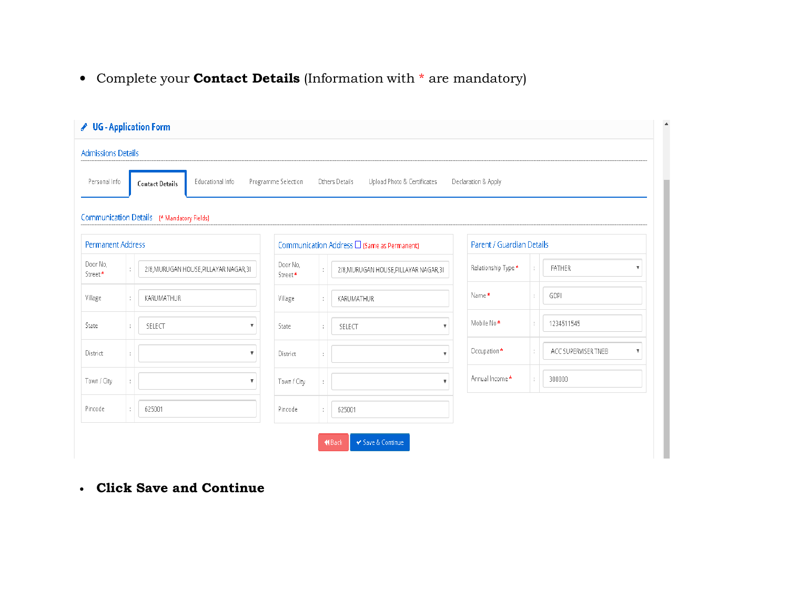• Complete your **Contact Details** (Information with \* are mandatory)

| <b>Admissions Details</b> |                                            |                     |   |                                                     |                           |                                                |
|---------------------------|--------------------------------------------|---------------------|---|-----------------------------------------------------|---------------------------|------------------------------------------------|
| Personal Info             | Educational Info<br><b>Contact Details</b> | Programme Selection |   | Others Details<br>Upload Photo & Certificates       | Declaration & Apply       |                                                |
|                           | Communication Details (* Mandatory Fields) |                     |   |                                                     |                           |                                                |
| Permanent Address         |                                            |                     |   | Communication Address $\square$ (Same as Permanent) | Parent / Guardian Details |                                                |
| Door No,<br>Street*       | 2/8, MURUGAN HOUSE, PILLAYAR NAGAR, 31     | Door No,<br>Street* |   | 2/8, MURUGAN HOUSE, PILLAYAR NAGAR, 31              | Relationship Type *       | FATHER                                         |
| Village                   | KARUMATHUR                                 | Village             |   | KARUMATHUR                                          | Name*                     | GOPI                                           |
| State                     | SELECT                                     | State               |   | SELECT<br>$\mathbf{v}$                              | Mobile No <sup>*</sup>    | 1234511545                                     |
| District                  | $\boldsymbol{\mathrm{v}}$                  | District            | ÷ | $\mathbf{v}$                                        | Occupation *              | ACC SUPERVISER TNEB<br>$\overline{\mathbf{v}}$ |
| Town / City               | $\boldsymbol{\mathrm{v}}$                  | Town / City         |   | $\boldsymbol{\mathrm{v}}$                           | Annual Income *           | 300000                                         |
| Pincode                   | 625001                                     | Pincode             |   | 625001                                              |                           |                                                |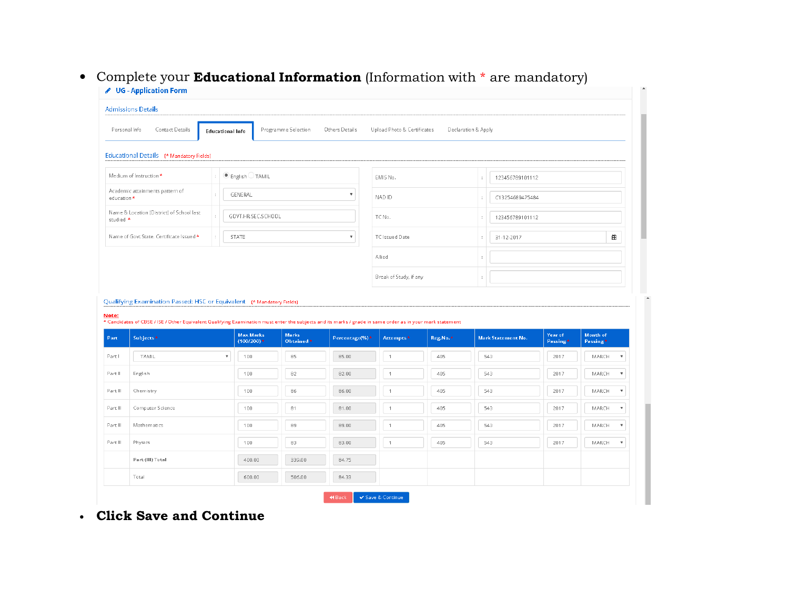# $\bullet~$  Complete your  ${\bf Educational~Information}$  (Information with  $\text{*}$  are mandatory)

|                                                                                   | Personal Info<br>Contact Details                                                                                                                                                    | <b>Educational Info</b>   |                                  | Programme Selection       | Others Details | Upload Photo & Certificates |          | Declaration & Apply |                           |                     |                      |                                                                                     |  |
|-----------------------------------------------------------------------------------|-------------------------------------------------------------------------------------------------------------------------------------------------------------------------------------|---------------------------|----------------------------------|---------------------------|----------------|-----------------------------|----------|---------------------|---------------------------|---------------------|----------------------|-------------------------------------------------------------------------------------|--|
|                                                                                   | Educational Details (* Mandatory Fields)                                                                                                                                            |                           |                                  |                           |                |                             |          |                     |                           |                     |                      |                                                                                     |  |
|                                                                                   | Medium of Instruction *<br>$\bullet$ English $\circ$ TAMIL                                                                                                                          |                           |                                  |                           |                | EMIS No.                    |          | ł.                  | 123456789101112           |                     |                      |                                                                                     |  |
| education *                                                                       | Academic attainments pattern of<br>GENERAL                                                                                                                                          |                           |                                  |                           |                | NAD ID                      |          | t                   | C13254689475484           |                     |                      |                                                                                     |  |
| studied *                                                                         | Name & Location (District) of School last                                                                                                                                           |                           | GOVT.HR.SEC.SCHOOL               |                           |                | TC No.                      |          | d                   | 123456789101112           |                     |                      |                                                                                     |  |
|                                                                                   | Name of Govt.State. Certificate Issued *<br><b>STATE</b><br>$\overline{\mathbf{v}}$<br>÷                                                                                            |                           |                                  |                           |                | TC Issued Date              |          | ÷                   | 31-12-2017                |                     | 龠                    |                                                                                     |  |
|                                                                                   |                                                                                                                                                                                     |                           |                                  |                           |                | Allied                      |          |                     |                           |                     |                      |                                                                                     |  |
|                                                                                   |                                                                                                                                                                                     |                           |                                  |                           |                |                             |          |                     |                           |                     |                      |                                                                                     |  |
|                                                                                   | Qualifying Examination Passed: HSC or Equivalent (* Mandatory Fields)                                                                                                               |                           |                                  |                           |                | Break of Study, if any      |          | ł.                  |                           |                     |                      |                                                                                     |  |
|                                                                                   | * Candidates of CBSE / ISE / Other Equivalent Qualifying Examination must enter the subjects and its marks / grade in same order as in your mark statement<br>Subjects <sup>*</sup> |                           | <b>Max Marks</b><br>$(100/200)*$ | <b>Marks</b><br>Obtained* | Percentage(%)* | Attempts <sup>*</sup>       | Reg.No.* |                     | <b>Mark Statement No.</b> | Year of<br>Passing* | Month of<br>Passing* |                                                                                     |  |
|                                                                                   | TAMIL                                                                                                                                                                               | $\boldsymbol{\mathrm{v}}$ | 100                              | 85                        | 85.00          | $\mathbf{1}$                | 405      |                     | 543                       | 2017                | MARCH                | $\overline{\mathbf{v}}$                                                             |  |
|                                                                                   | English                                                                                                                                                                             |                           | 100                              | 82                        | 82.00          | 1                           | 405      |                     | 543                       | 2017                | MARCH                |                                                                                     |  |
|                                                                                   | Chemistry                                                                                                                                                                           |                           | 100                              | 86                        | 86.00          | $\ensuremath{\mathsf{1}}$   | 405      |                     | 543                       | 2017                | MARCH                |                                                                                     |  |
|                                                                                   | Computer Science                                                                                                                                                                    |                           | 100                              | 81                        | 81.00          | $\mathbf{1}$                | 405      |                     | 543                       | 2017                | MARCH                | $\overline{\mathbf{v}}$                                                             |  |
|                                                                                   | Mathematics                                                                                                                                                                         |                           | 100                              | 89                        | 89.00          | $\mathbf{1}$                | 405      |                     | 543                       | 2017                | MARCH                |                                                                                     |  |
|                                                                                   | Physics                                                                                                                                                                             |                           | 100                              | $_{\rm 83}$               | 83.00          | $\mathbf{1}$                | 405      |                     | 543                       | 2017                | MARCH                | $\boldsymbol{\mathrm{v}}$<br>$\boldsymbol{\mathrm{v}}$<br>$\boldsymbol{\mathrm{v}}$ |  |
| Note:<br>Part<br>Parti<br>Part II<br>Part III<br>Part III<br>Part III<br>Part III | Part (III) Total                                                                                                                                                                    |                           | 400.00                           | 339.00                    | 84.75          |                             |          |                     |                           |                     |                      | $\boldsymbol{\mathrm{v}}$                                                           |  |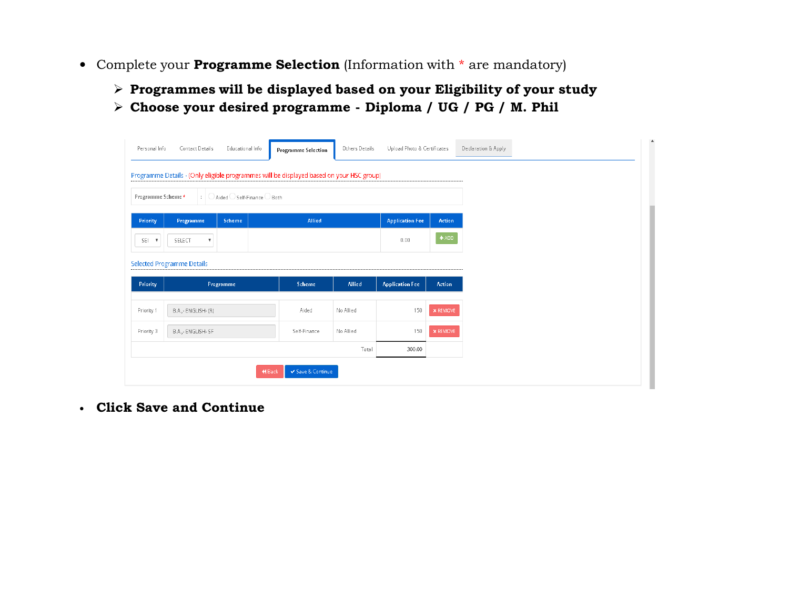- Complete your **Programme Selection** (Information with  $*$  are mandatory)
	- Programmes will be displayed based on your Eligibility of your study<br>
	and in the line of the line of the line of the line of the line of the line of the line of the line of the li
	- Choose your desired programme Diploma / UG / PG / M. Phil

| Personal Info          | Contact Details                                                                          | Educational Info                  |  | <b>Programme Selection</b> | Others Details | Upload Photo & Certificates |                 | Declaration & Apply |  |
|------------------------|------------------------------------------------------------------------------------------|-----------------------------------|--|----------------------------|----------------|-----------------------------|-----------------|---------------------|--|
|                        | Programme Details - (Only eligible programmes will be displayed based on your HSC group) |                                   |  |                            |                |                             |                 |                     |  |
| Programme Scheme*      |                                                                                          | :   ○ Aided ○ Self-Finance ○ Both |  |                            |                |                             |                 |                     |  |
| Priority               | Programme                                                                                | Scheme                            |  | Allied                     |                | <b>Application Fee</b>      | Action          |                     |  |
| SEI V                  | SELECT<br>$\boldsymbol{\mathrm{v}}$                                                      |                                   |  |                            |                | 0.00                        | $+ADD$          |                     |  |
|                        |                                                                                          |                                   |  |                            |                |                             |                 |                     |  |
|                        | <b>Selected Programme Details</b>                                                        |                                   |  |                            |                |                             |                 |                     |  |
|                        |                                                                                          | Programme                         |  | Scheme                     | Allied         | <b>Application Fee</b>      | <b>Action</b>   |                     |  |
| Priority<br>Priority 1 | B.A., - ENGLISH - (R)                                                                    |                                   |  | Aided                      | No Allied      | 150                         | $\times$ REMOVE |                     |  |
| Priority 3             | B.A., - ENGLISH - SF                                                                     |                                   |  | Self-Finance               | No Allied      | 150                         | $\times$ REMOVE |                     |  |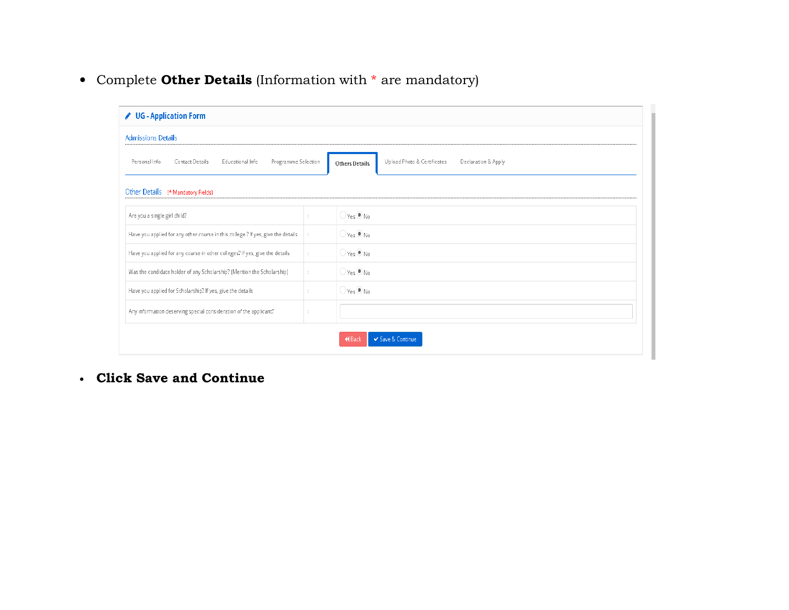• Complete **Other Details** (Information with  $*$  are mandatory)

| ✔ UG - Application Form                                                          |                      |                                                                             |  |  |  |  |
|----------------------------------------------------------------------------------|----------------------|-----------------------------------------------------------------------------|--|--|--|--|
| <b>Admissions Details</b>                                                        |                      |                                                                             |  |  |  |  |
| Programme Selection<br>Personal Info<br>Contact Details<br>Educational Info      |                      | Upload Photo & Certificates<br>Declaration & Apply<br><b>Others Details</b> |  |  |  |  |
| Other Details (* Mandatory Fields)                                               |                      |                                                                             |  |  |  |  |
| Are you a single girl child?                                                     |                      | $\bigcirc$ Yes $\bigcirc$ No                                                |  |  |  |  |
| Have you applied for any other course in this college ? If yes, give the details |                      | $\bigcirc$ Yes $\bigcirc$ No                                                |  |  |  |  |
| Have you applied for any course in other colleges? If yes, give the details      | $\ddot{\phantom{a}}$ | $\bigcirc$ Yes $\odot$ No                                                   |  |  |  |  |
| Was the candidate holder of any Scholarship? (Mention the Scholarship)           | ÷                    | $\bigcirc$ Yes $\bigcirc$ No                                                |  |  |  |  |
| Have you applied for Scholarship? If yes, give the details                       |                      | $\bigcirc$ Yes $\bigcirc$ No                                                |  |  |  |  |
| Any information deserving special consideration of the applicant?                |                      |                                                                             |  |  |  |  |
|                                                                                  |                      | ✔ Save & Continue<br><b>KBack</b>                                           |  |  |  |  |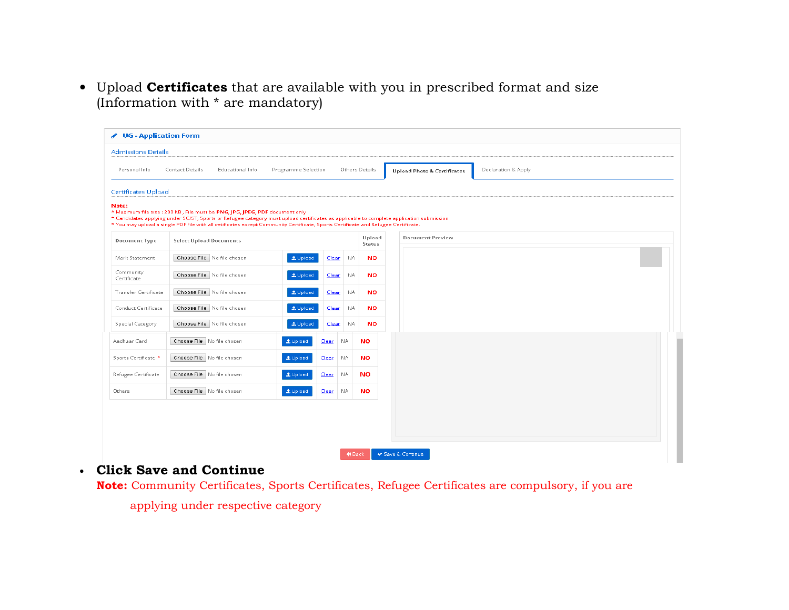• Upload Certificates that are available with you in prescribed format and size (Information with \* are mandatory)

| ✔ UG - Application Form    |                                                                                                                                                                                                                                                                                                                                                              |                     |              |               |                  |                                        |                     |
|----------------------------|--------------------------------------------------------------------------------------------------------------------------------------------------------------------------------------------------------------------------------------------------------------------------------------------------------------------------------------------------------------|---------------------|--------------|---------------|------------------|----------------------------------------|---------------------|
| <b>Admissions Details</b>  |                                                                                                                                                                                                                                                                                                                                                              |                     |              |               |                  |                                        |                     |
| Personal Info              | <b>Contact Details</b><br>Educational Info                                                                                                                                                                                                                                                                                                                   | Programme Selection |              |               | Others Details   | <b>Upload Photo &amp; Certificates</b> | Declaration & Apply |
| <b>Certificates Upload</b> |                                                                                                                                                                                                                                                                                                                                                              |                     |              |               |                  |                                        |                     |
| Note:                      | * Maximum file size : 200 KB, File must be PNG, JPG, JPEG, PDF document only<br>* Candidates applying under SC/ST, Sports or Refugee category must upload certificates as applicable to complete application submission<br>* You may upload a single PDF file with all cetificates except Community Certificate, Sports Certificate and Refugee Certificate. |                     |              |               |                  |                                        |                     |
| Document Type              | <b>Select Upload Documents</b>                                                                                                                                                                                                                                                                                                                               |                     |              |               | Upload<br>Status | <b>Document Preview</b>                |                     |
| Mark Statement             | Choose File No file chosen                                                                                                                                                                                                                                                                                                                                   | Lupload             | Clear        | NA.           | <b>NO</b>        |                                        |                     |
| Community<br>Certificate   | Choose File No file chosen                                                                                                                                                                                                                                                                                                                                   | <b>1</b> Upload     | <b>Clear</b> | NA.           | <b>NO</b>        |                                        |                     |
| Transfer Certificate       | Choose File No file chosen                                                                                                                                                                                                                                                                                                                                   | <b>1</b> Upload     | <b>Clear</b> | -NA           | <b>NO</b>        |                                        |                     |
| Conduct Certificate        | Choose File No file chosen                                                                                                                                                                                                                                                                                                                                   | <b>1</b> Upload     | <b>Clear</b> | NA.           | <b>NO</b>        |                                        |                     |
| Special Category           | Choose File No file chosen                                                                                                                                                                                                                                                                                                                                   | <b>1.</b> Upload    | Clear        | <b>NA</b>     | <b>NO</b>        |                                        |                     |
| Aadhaar Card               | Choose File No file chosen                                                                                                                                                                                                                                                                                                                                   | 1 Upload            | Clear        | NA.           | <b>NO</b>        |                                        |                     |
| Sports Certificate *       | Choose File No file chosen                                                                                                                                                                                                                                                                                                                                   | 1 Upload            | Cear         | NA.           | <b>NO</b>        |                                        |                     |
| Refugee Certificate        | Choose File No file chosen                                                                                                                                                                                                                                                                                                                                   | Lupload             | Clear        | NA.           | <b>NO</b>        |                                        |                     |
| Others                     | Choose File No file chosen                                                                                                                                                                                                                                                                                                                                   | <b>1.</b> Upload    | Cear         | NA.           | <b>NO</b>        |                                        |                     |
|                            |                                                                                                                                                                                                                                                                                                                                                              |                     |              |               |                  |                                        |                     |
|                            |                                                                                                                                                                                                                                                                                                                                                              |                     |              |               |                  |                                        |                     |
|                            |                                                                                                                                                                                                                                                                                                                                                              |                     |              |               |                  |                                        |                     |
|                            |                                                                                                                                                                                                                                                                                                                                                              |                     |              | <b>K</b> Back |                  | ✔ Save & Continue                      |                     |

### • Click Save and Continue

**Note:** Community Certificates, Sports Certificates, Refugee Certificates are compulsory, if you are

applying under respective category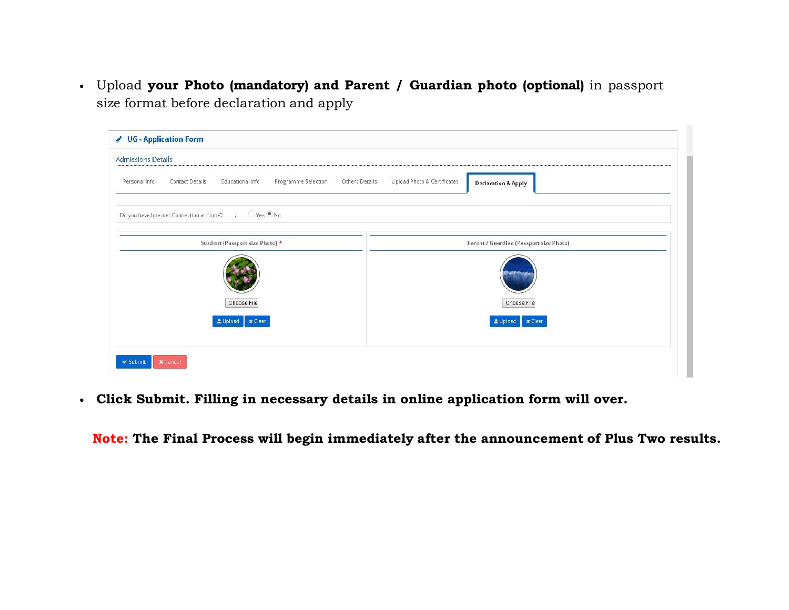• Upload **your Photo (mandatory) and Parent / Guardian photo (optional)** in passport size format before declaration and apply

| ✔ UG - Application Form                                                                       |                                                               |
|-----------------------------------------------------------------------------------------------|---------------------------------------------------------------|
| <b>Admissions Details</b>                                                                     |                                                               |
| Educational Info<br>Personal Info<br>Programme Selection<br>Others Details<br>Contact Details | Upload Photo & Certificates<br><b>Declaration &amp; Apply</b> |
| $OYes$ Mo<br>Do you have Internet Connection at home?<br>$\mathbb{R}$                         |                                                               |
| Student (Passport size Photo) *                                                               | Parent / Guardian (Passport size Photo)                       |
|                                                                                               |                                                               |
| Choose File                                                                                   | Choose File                                                   |
| LUpload   x Clear                                                                             | LUpload   X Clear                                             |
| <b>x</b> Cancel<br>$\checkmark$ Submit                                                        |                                                               |

• Click Submit. Filling in necessary details in online application form will over.

Note: The Final Process will begin immediately after the announcement of Plus Two results.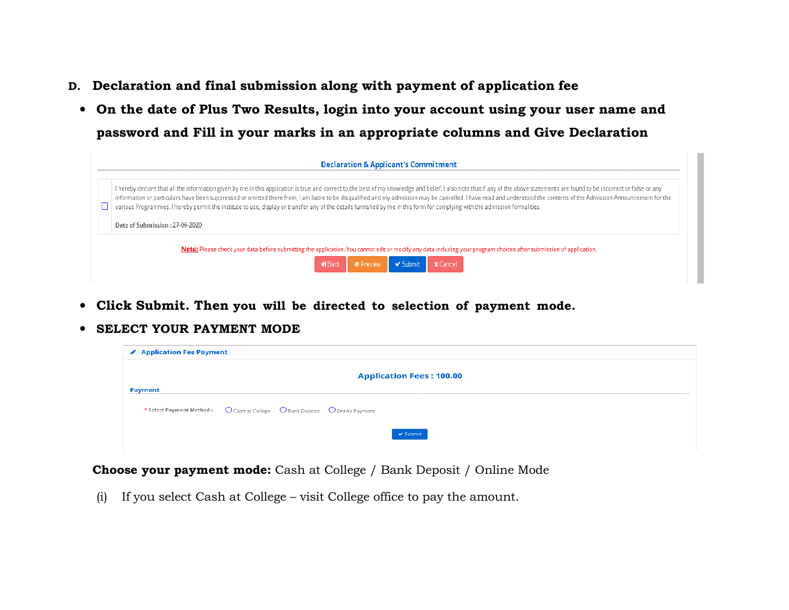- D. Declaration and final submission along with payment of application fee
- On the date of Plus Two Results, login into your account using your user name and password and Fill in your marks in an appropriate columns and Give Declaration

|   | <b>Declaration &amp; Applicant's Commitment</b>                                                                                                                                                                                                                                                                                                                                                                                                                                                                                                                                                                                                                            |  |  |  |  |  |
|---|----------------------------------------------------------------------------------------------------------------------------------------------------------------------------------------------------------------------------------------------------------------------------------------------------------------------------------------------------------------------------------------------------------------------------------------------------------------------------------------------------------------------------------------------------------------------------------------------------------------------------------------------------------------------------|--|--|--|--|--|
| П | I hereby declare that all the information given by me in this application is true and correct to the best of my knowledge and belief. I also note that if any of the above statements are found to be incorrect or false or an<br>information or particulars have been suppressed or omitted there from, I am liable to be disqualified and my admission may be cancelled. I have read and understood the contents of the Admission Announcement for the<br>various Programmes. I hereby permit the institute to use, display or transfer any of the details furnished by me in this form for complying with the admission formalities.<br>Date of Submission : 27-06-2020 |  |  |  |  |  |
|   | Note: Please check your data before submitting the application. You cannot edit or modify any data including your program choices after submission of application.<br>De Preview V Submit<br><b>X</b> Cancel<br><b>KBack</b>                                                                                                                                                                                                                                                                                                                                                                                                                                               |  |  |  |  |  |

- Click Submit. Then you will be directed to selection of payment mode.
- SELECT YOUR PAYMENT MODE

| <b>▶ Application Fee Payment</b>                                           |  |  |                                 |  |  |  |
|----------------------------------------------------------------------------|--|--|---------------------------------|--|--|--|
|                                                                            |  |  | <b>Application Fees: 100.00</b> |  |  |  |
| Payment                                                                    |  |  |                                 |  |  |  |
| * Select Payment Method: O Cash at College O Bank Deposit O Online Payment |  |  |                                 |  |  |  |
|                                                                            |  |  |                                 |  |  |  |
|                                                                            |  |  | √ Submit                        |  |  |  |

Choose your payment mode: Cash at College / Bank Deposit / Online Mode

(i) If you select Cash at College – visit College office to pay the amount.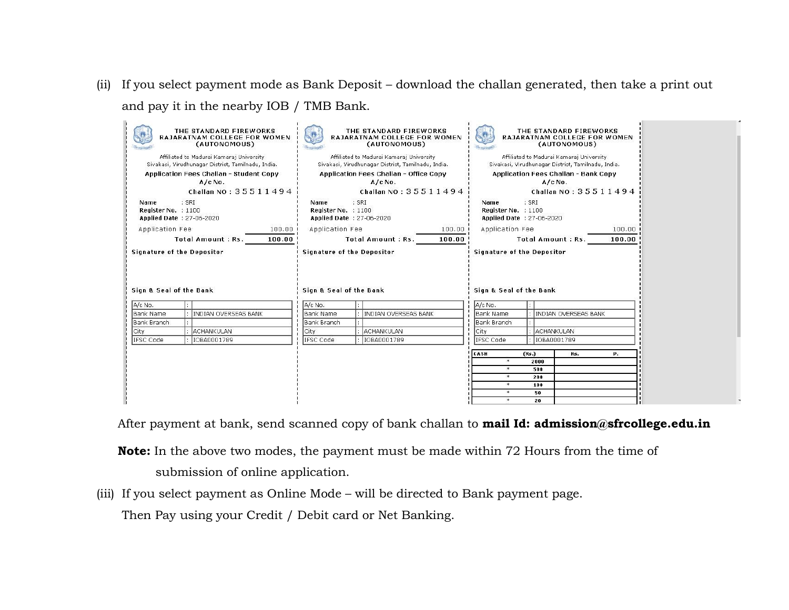(ii) If you select payment mode as Bank Deposit – download the challan generated, then take a print out and pay it in the nearby IOB / TMB Bank.

| THE STANDARD FIREWORKS<br>RAJARATNAM COLLEGE FOR WOMEN<br>(AUTONOMOUS)<br>Affiliated to Madurai Kamaraj University<br>Sivakasi, Virudhunagar District, Tamilnadu, India.<br>Application Fees Challan - Student Copy<br>$A/c$ No.<br>Challan NO: 35511494 | THE STANDARD FIREWORKS<br>RAJARATNAM COLLEGE FOR WOMEN<br>(AUTONOMOUS)<br>Affiliated to Madurai Kamaraj University<br>Sivakasi, Virudhunagar District, Tamilnadu, India.<br>Application Fees Challan - Office Copy<br>$A/C$ No.<br>Challan NO: 35511494 | THE STANDARD FIREWORKS<br>RAJARATNAM COLLEGE FOR WOMEN<br>(AUTONOMOUS)<br>Affiliated to Madurai Kamaraj University.<br>Sivakasi, Virudhunagar District, Tamilnadu, India.<br>Application Fees Challan - Bank Copy<br>A/c No.<br>Challan NO: 35511494 |
|----------------------------------------------------------------------------------------------------------------------------------------------------------------------------------------------------------------------------------------------------------|---------------------------------------------------------------------------------------------------------------------------------------------------------------------------------------------------------------------------------------------------------|------------------------------------------------------------------------------------------------------------------------------------------------------------------------------------------------------------------------------------------------------|
| $:$ SRI<br>Name<br>Register No. : 1100<br>Applied Date: 27-06-2020                                                                                                                                                                                       | $:$ SRI<br>Name<br>Register No. : 1100<br>Applied Date: 27-06-2020                                                                                                                                                                                      | $:$ SRI<br>Name<br>Register No. : 1100<br>Applied Date : 27-06-2020                                                                                                                                                                                  |
| Application Fee<br>100.00                                                                                                                                                                                                                                | Application Fee<br>100.00<br>100.00                                                                                                                                                                                                                     | Application Fee<br>100.00                                                                                                                                                                                                                            |
| Total Amount: Rs.<br>100.00<br><b>Signature of the Depositor</b>                                                                                                                                                                                         | Total Amount: Rs.<br><b>Signature of the Depositor</b>                                                                                                                                                                                                  | Total Amount: Rs.<br>100.00<br><b>Signature of the Depositor</b>                                                                                                                                                                                     |
| Sign & Seal of the Bank                                                                                                                                                                                                                                  | Sign & Seal of the Bank                                                                                                                                                                                                                                 | Sian & Seal of the Bank                                                                                                                                                                                                                              |
| A/c No.                                                                                                                                                                                                                                                  | A/c No.                                                                                                                                                                                                                                                 | A/c No.                                                                                                                                                                                                                                              |
| <b>INDIAN OVERSEAS BANK</b><br>Bank Name                                                                                                                                                                                                                 | <b>INDIAN OVERSEAS BANK</b><br>Bank Name                                                                                                                                                                                                                | <b>INDIAN OVERSEAS BANK</b><br><b>Bank Name</b>                                                                                                                                                                                                      |
| <b>Bank Branch</b><br><b>ACHANKULAN</b>                                                                                                                                                                                                                  | <b>Bank Branch</b>                                                                                                                                                                                                                                      | <b>Bank Branch</b><br><b>ACHANKULAN</b>                                                                                                                                                                                                              |
| City<br>IFSC Code<br>IOBA0001789                                                                                                                                                                                                                         | City<br>ACHANKULAN<br>IFSC Code<br>IOBA0001789                                                                                                                                                                                                          | City<br>IFSC Code<br>IOBA0001789                                                                                                                                                                                                                     |
|                                                                                                                                                                                                                                                          |                                                                                                                                                                                                                                                         |                                                                                                                                                                                                                                                      |
|                                                                                                                                                                                                                                                          |                                                                                                                                                                                                                                                         | CASH<br>(Rs.)<br>Rs.<br>р.<br>$*$<br>2000                                                                                                                                                                                                            |
|                                                                                                                                                                                                                                                          |                                                                                                                                                                                                                                                         | *<br>500                                                                                                                                                                                                                                             |
|                                                                                                                                                                                                                                                          |                                                                                                                                                                                                                                                         | $*$<br>200                                                                                                                                                                                                                                           |
|                                                                                                                                                                                                                                                          |                                                                                                                                                                                                                                                         | $*$<br>100<br>$*$<br>50                                                                                                                                                                                                                              |
|                                                                                                                                                                                                                                                          |                                                                                                                                                                                                                                                         |                                                                                                                                                                                                                                                      |

After payment at bank, send scanned copy of bank challan to mail Id: admission@sfrcollege.edu.in

Note: In the above two modes, the payment must be made within 72 Hours from the time of submission of online application.

(iii) If you select payment as Online Mode – will be directed to Bank payment page.

Then Pay using your Credit / Debit card or Net Banking.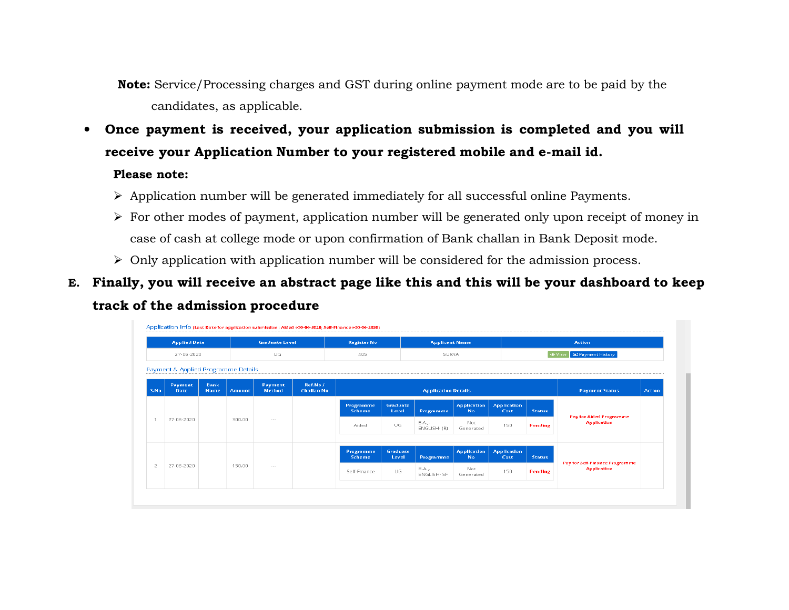Note: Service/Processing charges and GST during online payment mode are to be paid by the candidates, as applicable.

• Once payment is received, your application submission is completed and you will receive your Application Number to your registered mobile and e-mail id.

### Please note:

- $\triangleright$  Application number will be generated immediately for all successful online Payments.
- $\triangleright$  For other modes of payment, application number will be generated only upon receipt of money in case of cash at college mode or upon confirmation of Bank challan in Bank Deposit mode.
- $\triangleright$  Only application with application number will be considered for the admission process.
- E. Finally, you will receive an abstract page like this and this will be your dashboard to keep track of the admission procedure

|                | <b>Applied Date</b><br><b>Graduate Level</b><br>UG<br>27-06-2020 |             |        | <b>Register No</b><br>405 |                   | <b>Applicant Name</b><br>SURYA |                   |                              | Action<br><b>ED Payment History</b><br><b>⊕</b> View |                                             |                                |                       |        |
|----------------|------------------------------------------------------------------|-------------|--------|---------------------------|-------------------|--------------------------------|-------------------|------------------------------|------------------------------------------------------|---------------------------------------------|--------------------------------|-----------------------|--------|
|                | Payment & Applied Programme Details<br>Payment                   | Bank        |        | Payment                   | Ref.No /          |                                |                   |                              |                                                      |                                             |                                |                       |        |
| S.No           | <b>Date</b>                                                      | <b>Name</b> | Amount | Method                    | <b>Challan No</b> |                                |                   | <b>Application Details</b>   |                                                      |                                             |                                | <b>Payment Status</b> | Action |
|                |                                                                  |             |        |                           |                   | Programme<br>Scheme            | Graduate<br>Level | Programme                    | <b>Application</b><br><b>No</b>                      | <b>Application</b><br>Cost<br><b>Status</b> | <b>Pay for Aided Programme</b> |                       |        |
| -1             | 27-06-2020                                                       |             | 300.00 | $\sim$                    |                   | Aided                          | UG                | B.A.,-<br>ENGLISH- (R)       | Not<br>Generated                                     | 150                                         | <b>Pending</b>                 | <b>Application</b>    |        |
|                |                                                                  |             |        |                           |                   | Programme                      | Graduate          |                              | <b>Application</b>                                   | <b>Application</b>                          |                                |                       |        |
|                |                                                                  |             |        | Scheme                    | Level             | Programme                      | No.               | Cost                         | <b>Status</b>                                        | <b>Pay for Self-Finance Programme</b>       |                                |                       |        |
| $\overline{c}$ | 27-06-2020                                                       |             | 150.00 | $\cdots$                  |                   | Self-Finance                   | UG.               | <b>B.A.,-</b><br>ENGLISH- SF | Not<br>Generated                                     | 150                                         | Pending                        | <b>Application</b>    |        |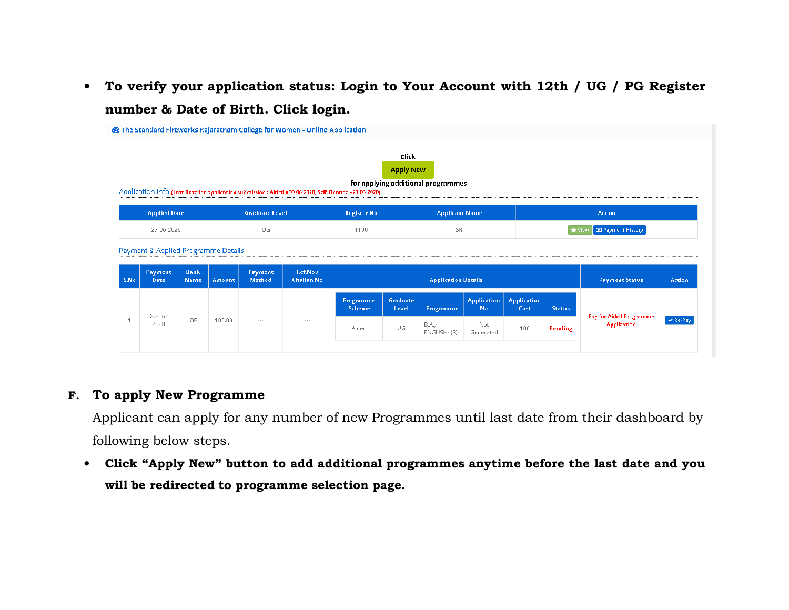• To verify your application status: Login to Your Account with 12th / UG / PG Register number & Date of Birth. Click login.

|      |                                                               |                      |        |                       | <b>@</b> The Standard Fireworks Rajaratnam College for Women - Online Application |                                                                                                       |                           |                                    |                                     |                            |               |                                                      |               |
|------|---------------------------------------------------------------|----------------------|--------|-----------------------|-----------------------------------------------------------------------------------|-------------------------------------------------------------------------------------------------------|---------------------------|------------------------------------|-------------------------------------|----------------------------|---------------|------------------------------------------------------|---------------|
|      |                                                               |                      |        |                       |                                                                                   | Application Info (Last Date for application submission : Aided »30-06-2020, Self-Finance »23-06-2020) | Click<br><b>Apply New</b> | for applying additional programmes |                                     |                            |               |                                                      |               |
|      | <b>Applied Date</b>                                           |                      |        | <b>Graduate Level</b> |                                                                                   | <b>Register No</b>                                                                                    |                           | <b>Applicant Name</b>              |                                     |                            |               | Action                                               |               |
|      | UG<br>27-06-2020                                              |                      |        |                       | SRI<br>1100                                                                       |                                                                                                       |                           |                                    | <b>ED</b> Payment History<br>⊙ View |                            |               |                                                      |               |
| S.No | Payment & Applied Programme Details<br>Payment<br><b>Date</b> | <b>Bank</b><br>Name, | Amount | Payment<br>Method     | Ref.No /<br><b>Challan No</b>                                                     |                                                                                                       |                           | <b>Application Details</b>         |                                     |                            |               | <b>Payment Status</b>                                | Action        |
|      |                                                               |                      |        |                       |                                                                                   | Programme<br>Scheme                                                                                   | Graduate<br>Level         | Programme                          | <b>Application</b><br><b>No</b>     | <b>Application</b><br>Cost | <b>Status</b> |                                                      |               |
|      | $27 - 06 -$<br>2020                                           | <b>IOB</b>           | 100.00 | $\cdots$              | $\sim$ $\sim$ $\sim$                                                              | Aided                                                                                                 | UG                        | B.A.,-<br>ENGLISH- (R)             | Not<br>Generated                    | 100                        | Pending       | <b>Pay for Aided Programme</b><br><b>Application</b> | $\vee$ Re-Pay |

### F. To apply New Programme

Applicant can apply for any number of new Programmes until last date from their dashboard by following below steps.

• Click "Apply New" button to add additional programmes anytime before the last date and you will be redirected to programme selection page.